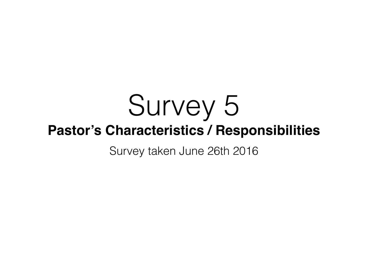# Survey 5 **Pastor's Characteristics / Responsibilities**

Survey taken June 26th 2016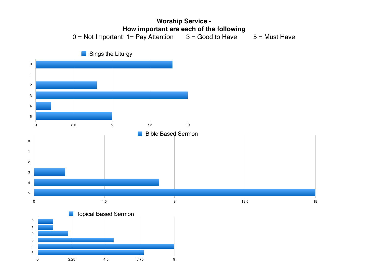

2.25 4.5 6.75 9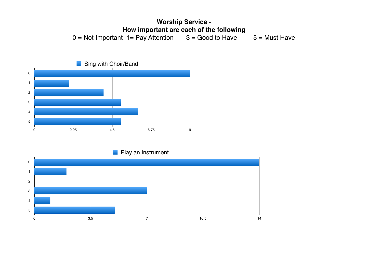## **Worship Service - How important are each of the following**<br>  $t = \text{Pay Attention}$  3 = Good to Have  $0 = Not$  Important  $1 = Pay$  Attention  $3 = Good$  to Have  $5 = Must$  Have



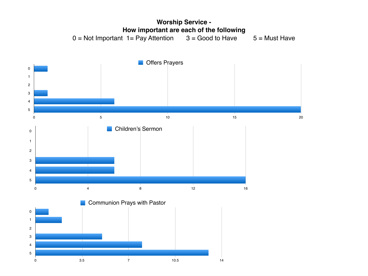

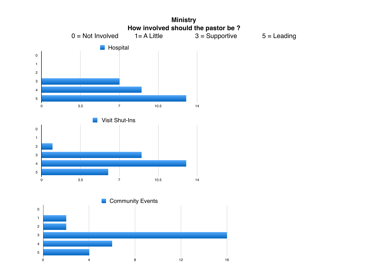![](_page_4_Figure_0.jpeg)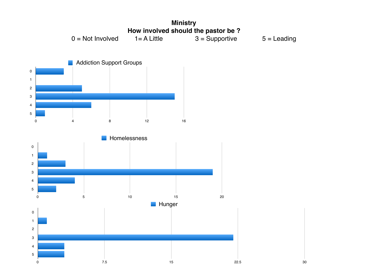![](_page_5_Figure_0.jpeg)

![](_page_5_Figure_1.jpeg)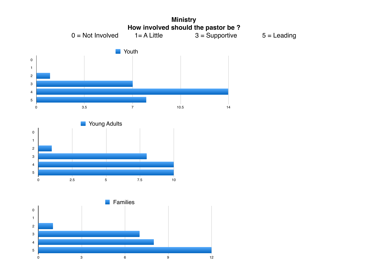![](_page_6_Figure_0.jpeg)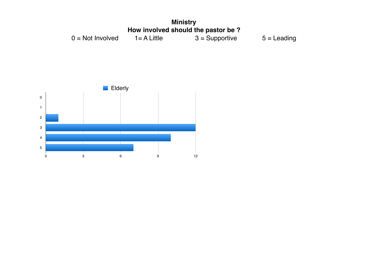![](_page_7_Figure_0.jpeg)

![](_page_7_Figure_1.jpeg)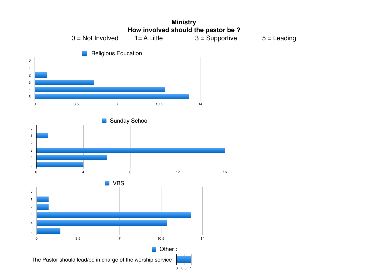![](_page_8_Figure_0.jpeg)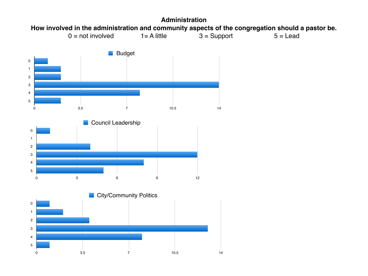![](_page_9_Figure_0.jpeg)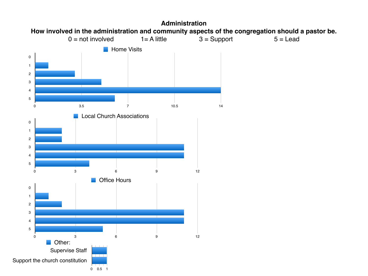![](_page_10_Figure_0.jpeg)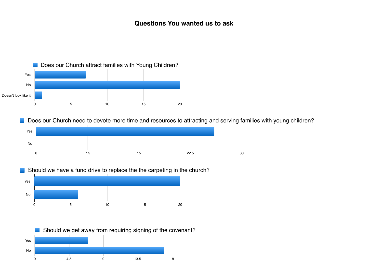![](_page_11_Figure_1.jpeg)

Does our Church need to devote more time and resources to attracting and serving families with young children?

![](_page_11_Figure_3.jpeg)

Should we have a fund drive to replace the the carpeting in the church?

![](_page_11_Figure_5.jpeg)

![](_page_11_Figure_6.jpeg)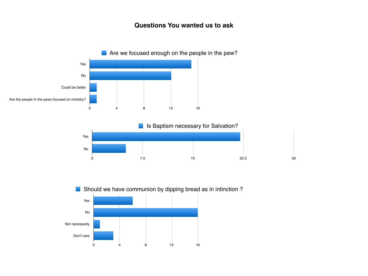![](_page_12_Figure_1.jpeg)

![](_page_12_Figure_2.jpeg)

![](_page_12_Figure_3.jpeg)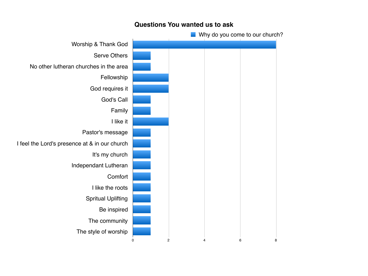![](_page_13_Figure_0.jpeg)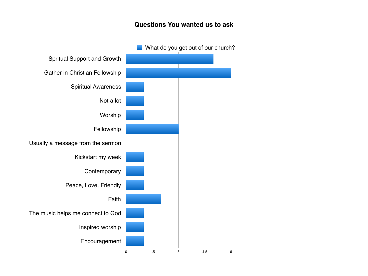![](_page_14_Figure_1.jpeg)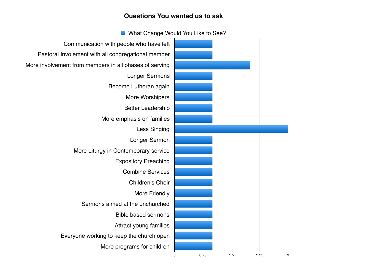Communication with people who have left Pastoral Involement with all congregational member More involvement from members in all phases of serving Longer Sermons Become Lutheran again More Worshipers Better Leadership More emphasis on families Less Singing Longer Sermon More Liturgy in Contemporary service Expository Preaching Combine Services Children's Choir More Friendly Sermons aimed at the unchurched Bible based sermons Attract young families Everyone working to keep the church open More programs for children 0 0.75 1.5 2.25 3 **Nituber 1 What Change Would You Like to See?**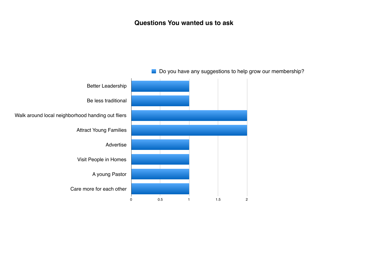![](_page_16_Figure_1.jpeg)